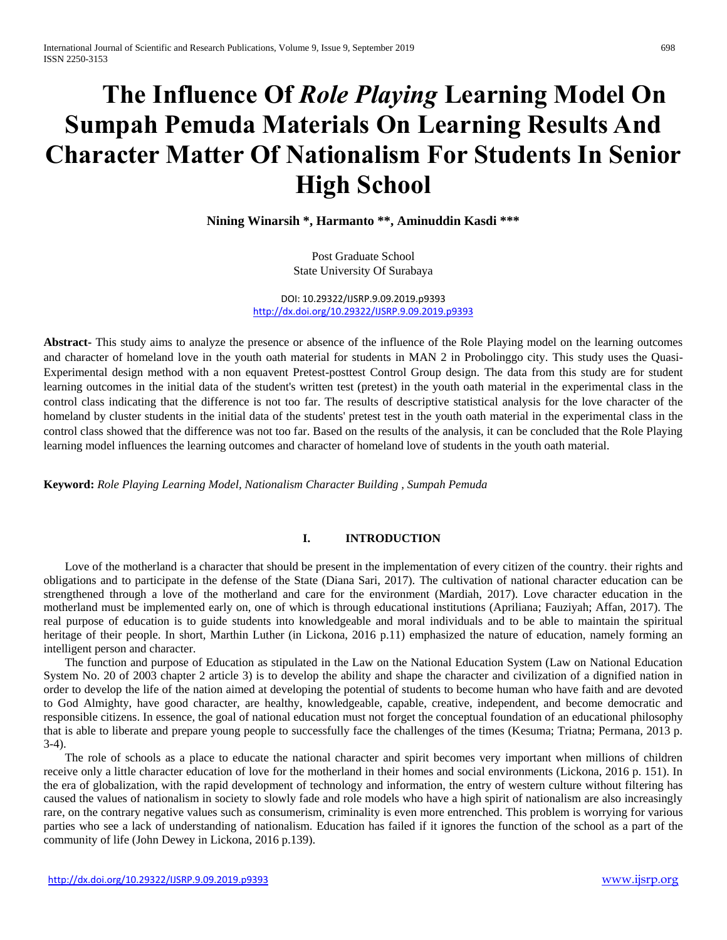# **The Influence Of** *Role Playing* **Learning Model On Sumpah Pemuda Materials On Learning Results And Character Matter Of Nationalism For Students In Senior High School**

**Nining Winarsih \*, Harmanto \*\*, Aminuddin Kasdi \*\*\***

Post Graduate School State University Of Surabaya

DOI: 10.29322/IJSRP.9.09.2019.p9393 <http://dx.doi.org/10.29322/IJSRP.9.09.2019.p9393>

**Abstract-** This study aims to analyze the presence or absence of the influence of the Role Playing model on the learning outcomes and character of homeland love in the youth oath material for students in MAN 2 in Probolinggo city. This study uses the Quasi-Experimental design method with a non equavent Pretest-posttest Control Group design. The data from this study are for student learning outcomes in the initial data of the student's written test (pretest) in the youth oath material in the experimental class in the control class indicating that the difference is not too far. The results of descriptive statistical analysis for the love character of the homeland by cluster students in the initial data of the students' pretest test in the youth oath material in the experimental class in the control class showed that the difference was not too far. Based on the results of the analysis, it can be concluded that the Role Playing learning model influences the learning outcomes and character of homeland love of students in the youth oath material.

**Keyword:** *Role Playing Learning Model, Nationalism Character Building , Sumpah Pemuda*

# **I. INTRODUCTION**

Love of the motherland is a character that should be present in the implementation of every citizen of the country, their rights and obligations and to participate in the defense of the State (Diana Sari, 2017). The cultivation of national character education can be strengthened through a love of the motherland and care for the environment (Mardiah, 2017). Love character education in the motherland must be implemented early on, one of which is through educational institutions (Apriliana; Fauziyah; Affan, 2017). The real purpose of education is to guide students into knowledgeable and moral individuals and to be able to maintain the spiritual heritage of their people. In short, Marthin Luther (in Lickona, 2016 p.11) emphasized the nature of education, namely forming an intelligent person and character.

The function and purpose of Education as stipulated in the Law on the National Education System (Law on National Education System No. 20 of 2003 chapter 2 article 3) is to develop the ability and shape the character and civilization of a dignified nation in order to develop the life of the nation aimed at developing the potential of students to become human who have faith and are devoted to God Almighty, have good character, are healthy, knowledgeable, capable, creative, independent, and become democratic and responsible citizens. In essence, the goal of national education must not forget the conceptual foundation of an educational philosophy that is able to liberate and prepare young people to successfully face the challenges of the times (Kesuma; Triatna; Permana, 2013 p. 3-4).

The role of schools as a place to educate the national character and spirit becomes very important when millions of children receive only a little character education of love for the motherland in their homes and social environments (Lickona, 2016 p. 151). In the era of globalization, with the rapid development of technology and information, the entry of western culture without filtering has caused the values of nationalism in society to slowly fade and role models who have a high spirit of nationalism are also increasingly rare, on the contrary negative values such as consumerism, criminality is even more entrenched. This problem is worrying for various parties who see a lack of understanding of nationalism. Education has failed if it ignores the function of the school as a part of the community of life (John Dewey in Lickona, 2016 p.139).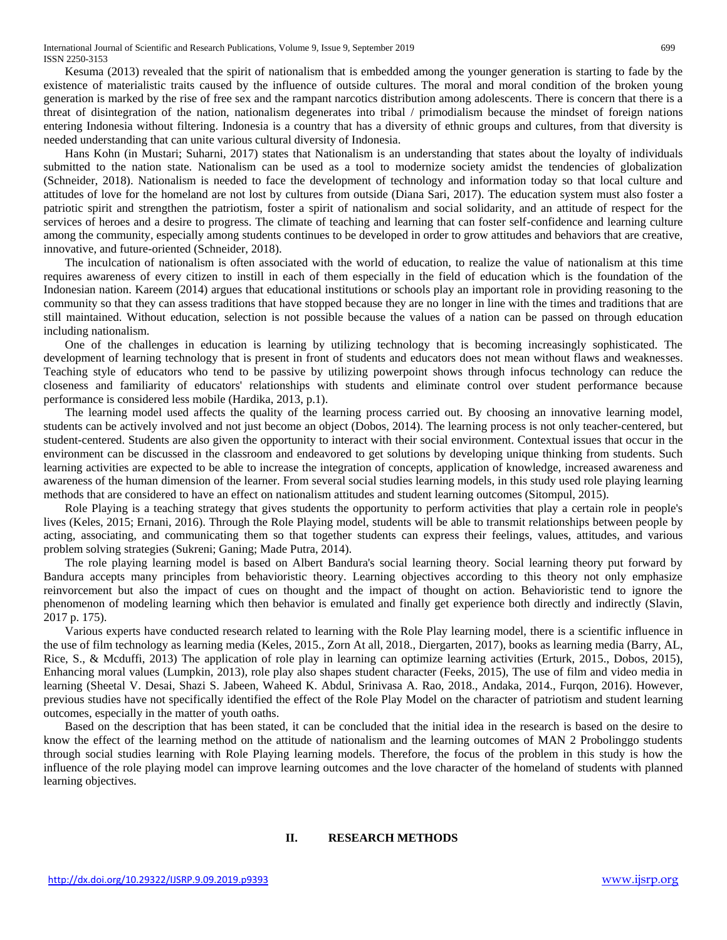Kesuma (2013) revealed that the spirit of nationalism that is embedded among the younger generation is starting to fade by the existence of materialistic traits caused by the influence of outside cultures. The moral and moral condition of the broken young generation is marked by the rise of free sex and the rampant narcotics distribution among adolescents. There is concern that there is a threat of disintegration of the nation, nationalism degenerates into tribal / primodialism because the mindset of foreign nations entering Indonesia without filtering. Indonesia is a country that has a diversity of ethnic groups and cultures, from that diversity is needed understanding that can unite various cultural diversity of Indonesia.

Hans Kohn (in Mustari; Suharni, 2017) states that Nationalism is an understanding that states about the loyalty of individuals submitted to the nation state. Nationalism can be used as a tool to modernize society amidst the tendencies of globalization (Schneider, 2018). Nationalism is needed to face the development of technology and information today so that local culture and attitudes of love for the homeland are not lost by cultures from outside (Diana Sari, 2017). The education system must also foster a patriotic spirit and strengthen the patriotism, foster a spirit of nationalism and social solidarity, and an attitude of respect for the services of heroes and a desire to progress. The climate of teaching and learning that can foster self-confidence and learning culture among the community, especially among students continues to be developed in order to grow attitudes and behaviors that are creative, innovative, and future-oriented (Schneider, 2018).

The inculcation of nationalism is often associated with the world of education, to realize the value of nationalism at this time requires awareness of every citizen to instill in each of them especially in the field of education which is the foundation of the Indonesian nation. Kareem (2014) argues that educational institutions or schools play an important role in providing reasoning to the community so that they can assess traditions that have stopped because they are no longer in line with the times and traditions that are still maintained. Without education, selection is not possible because the values of a nation can be passed on through education including nationalism.

One of the challenges in education is learning by utilizing technology that is becoming increasingly sophisticated. The development of learning technology that is present in front of students and educators does not mean without flaws and weaknesses. Teaching style of educators who tend to be passive by utilizing powerpoint shows through infocus technology can reduce the closeness and familiarity of educators' relationships with students and eliminate control over student performance because performance is considered less mobile (Hardika, 2013, p.1).

The learning model used affects the quality of the learning process carried out. By choosing an innovative learning model, students can be actively involved and not just become an object (Dobos, 2014). The learning process is not only teacher-centered, but student-centered. Students are also given the opportunity to interact with their social environment. Contextual issues that occur in the environment can be discussed in the classroom and endeavored to get solutions by developing unique thinking from students. Such learning activities are expected to be able to increase the integration of concepts, application of knowledge, increased awareness and awareness of the human dimension of the learner. From several social studies learning models, in this study used role playing learning methods that are considered to have an effect on nationalism attitudes and student learning outcomes (Sitompul, 2015).

Role Playing is a teaching strategy that gives students the opportunity to perform activities that play a certain role in people's lives (Keles, 2015; Ernani, 2016). Through the Role Playing model, students will be able to transmit relationships between people by acting, associating, and communicating them so that together students can express their feelings, values, attitudes, and various problem solving strategies (Sukreni; Ganing; Made Putra, 2014).

The role playing learning model is based on Albert Bandura's social learning theory. Social learning theory put forward by Bandura accepts many principles from behavioristic theory. Learning objectives according to this theory not only emphasize reinvorcement but also the impact of cues on thought and the impact of thought on action. Behavioristic tend to ignore the phenomenon of modeling learning which then behavior is emulated and finally get experience both directly and indirectly (Slavin, 2017 p. 175).

Various experts have conducted research related to learning with the Role Play learning model, there is a scientific influence in the use of film technology as learning media (Keles, 2015., Zorn At all, 2018., Diergarten, 2017), books as learning media (Barry, AL, Rice, S., & Mcduffi, 2013) The application of role play in learning can optimize learning activities (Erturk, 2015., Dobos, 2015), Enhancing moral values (Lumpkin, 2013), role play also shapes student character (Feeks, 2015), The use of film and video media in learning (Sheetal V. Desai, Shazi S. Jabeen, Waheed K. Abdul, Srinivasa A. Rao, 2018., Andaka, 2014., Furqon, 2016). However, previous studies have not specifically identified the effect of the Role Play Model on the character of patriotism and student learning outcomes, especially in the matter of youth oaths.

Based on the description that has been stated, it can be concluded that the initial idea in the research is based on the desire to know the effect of the learning method on the attitude of nationalism and the learning outcomes of MAN 2 Probolinggo students through social studies learning with Role Playing learning models. Therefore, the focus of the problem in this study is how the influence of the role playing model can improve learning outcomes and the love character of the homeland of students with planned learning objectives.

## **II. RESEARCH METHODS**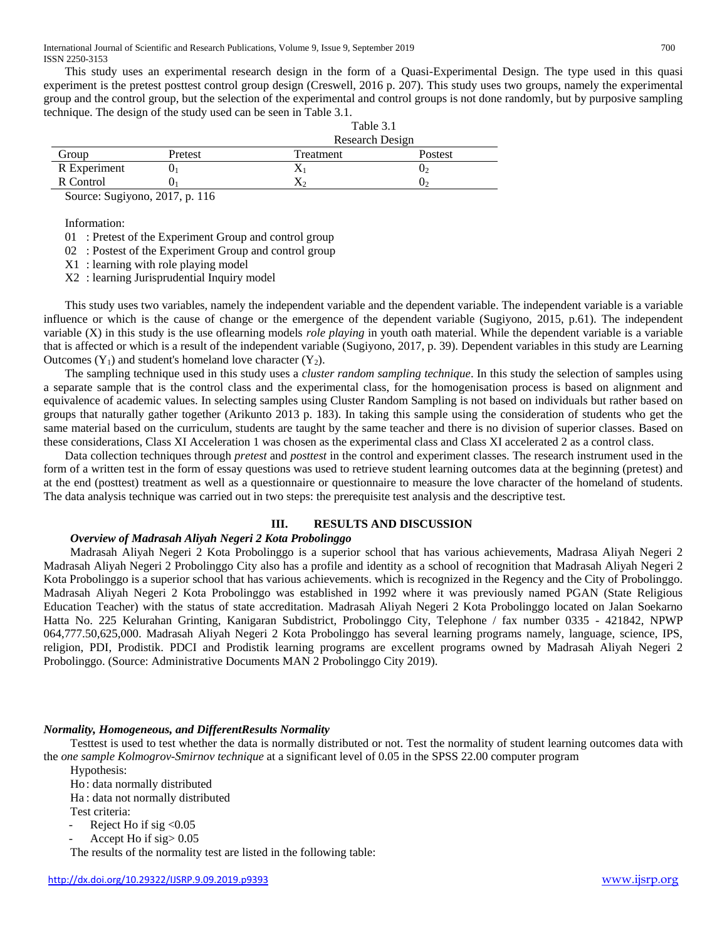This study uses an experimental research design in the form of a Quasi-Experimental Design. The type used in this quasi experiment is the pretest posttest control group design (Creswell, 2016 p. 207). This study uses two groups, namely the experimental group and the control group, but the selection of the experimental and control groups is not done randomly, but by purposive sampling technique. The design of the study used can be seen in Table 3.1.

|              |                      | Table 3.1              |         |  |  |  |
|--------------|----------------------|------------------------|---------|--|--|--|
|              |                      | <b>Research Design</b> |         |  |  |  |
| Group        | Pretest<br>Treatment |                        | Postest |  |  |  |
| R Experiment |                      |                        | U2      |  |  |  |
| R Control    | U                    |                        | J۶      |  |  |  |

Source: Sugiyono, 2017, p. 116

Information:

01 : Pretest of the Experiment Group and control group

02 : Postest of the Experiment Group and control group

X1 : learning with role playing model

X2 : learning Jurisprudential Inquiry model

This study uses two variables, namely the independent variable and the dependent variable. The independent variable is a variable influence or which is the cause of change or the emergence of the dependent variable (Sugiyono, 2015, p.61). The independent variable (X) in this study is the use oflearning models *role playing* in youth oath material. While the dependent variable is a variable that is affected or which is a result of the independent variable (Sugiyono, 2017, p. 39). Dependent variables in this study are Learning Outcomes  $(Y_1)$  and student's homeland love character  $(Y_2)$ .

The sampling technique used in this study uses a *cluster random sampling technique*. In this study the selection of samples using a separate sample that is the control class and the experimental class, for the homogenisation process is based on alignment and equivalence of academic values. In selecting samples using Cluster Random Sampling is not based on individuals but rather based on groups that naturally gather together (Arikunto 2013 p. 183). In taking this sample using the consideration of students who get the same material based on the curriculum, students are taught by the same teacher and there is no division of superior classes. Based on these considerations, Class XI Acceleration 1 was chosen as the experimental class and Class XI accelerated 2 as a control class.

Data collection techniques through *pretest* and *posttest* in the control and experiment classes. The research instrument used in the form of a written test in the form of essay questions was used to retrieve student learning outcomes data at the beginning (pretest) and at the end (posttest) treatment as well as a questionnaire or questionnaire to measure the love character of the homeland of students. The data analysis technique was carried out in two steps: the prerequisite test analysis and the descriptive test.

## **III. RESULTS AND DISCUSSION**

## *Overview of Madrasah Aliyah Negeri 2 Kota Probolinggo*

Madrasah Aliyah Negeri 2 Kota Probolinggo is a superior school that has various achievements, Madrasa Aliyah Negeri 2 Madrasah Aliyah Negeri 2 Probolinggo City also has a profile and identity as a school of recognition that Madrasah Aliyah Negeri 2 Kota Probolinggo is a superior school that has various achievements. which is recognized in the Regency and the City of Probolinggo. Madrasah Aliyah Negeri 2 Kota Probolinggo was established in 1992 where it was previously named PGAN (State Religious Education Teacher) with the status of state accreditation. Madrasah Aliyah Negeri 2 Kota Probolinggo located on Jalan Soekarno Hatta No. 225 Kelurahan Grinting, Kanigaran Subdistrict, Probolinggo City, Telephone / fax number 0335 - 421842, NPWP 064,777.50,625,000. Madrasah Aliyah Negeri 2 Kota Probolinggo has several learning programs namely, language, science, IPS, religion, PDI, Prodistik. PDCI and Prodistik learning programs are excellent programs owned by Madrasah Aliyah Negeri 2 Probolinggo. (Source: Administrative Documents MAN 2 Probolinggo City 2019).

## *Normality, Homogeneous, and DifferentResults Normality*

Testtest is used to test whether the data is normally distributed or not. Test the normality of student learning outcomes data with the *one sample Kolmogrov-Smirnov technique* at a significant level of 0.05 in the SPSS 22.00 computer program

Hypothesis:

Ho: data normally distributed

Ha : data not normally distributed

Test criteria:

- Reject Ho if sig  $< 0.05$
- Accept Ho if  $sig > 0.05$

The results of the normality test are listed in the following table: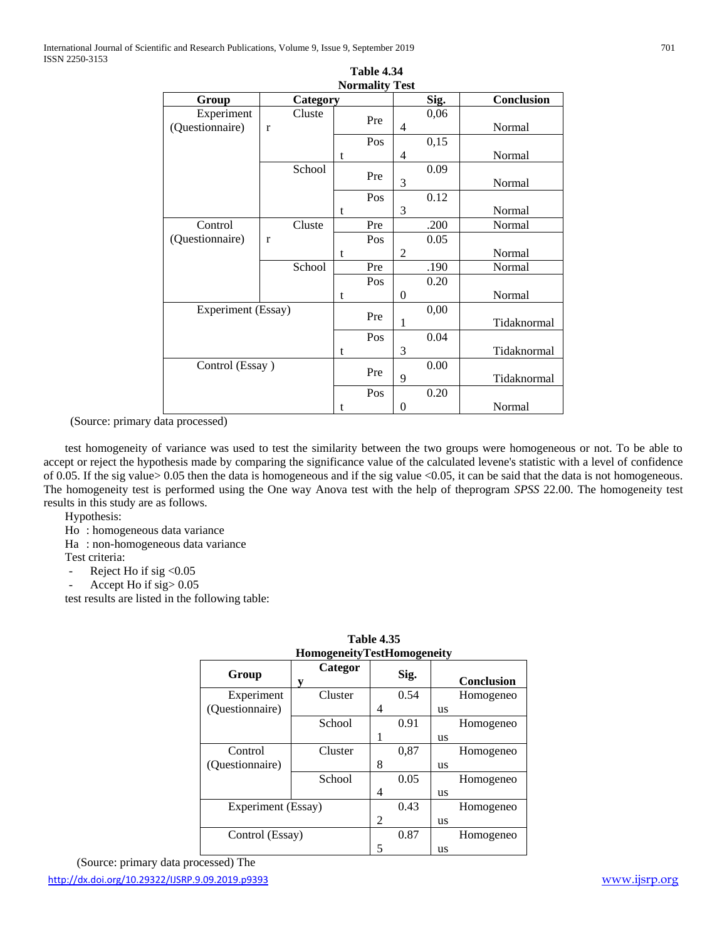|                               |                        |   | <b>Normality Test</b> |          |      |             |
|-------------------------------|------------------------|---|-----------------------|----------|------|-------------|
| Group                         | Category               |   |                       |          | Sig. | Conclusion  |
| Experiment<br>(Questionnaire) | Cluste<br>$\mathbf{r}$ |   | Pre                   | 4        | 0,06 | Normal      |
|                               |                        |   | Pos                   |          | 0,15 |             |
|                               |                        | t |                       | 4        |      | Normal      |
|                               | School                 |   | Pre                   |          | 0.09 |             |
|                               |                        |   |                       | 3        |      | Normal      |
|                               |                        |   | Pos                   |          | 0.12 |             |
|                               |                        | t |                       | 3        |      | Normal      |
| Control                       | Cluste                 |   | Pre                   |          | .200 | Normal      |
| (Questionnaire)               | r                      |   | Pos                   |          | 0.05 |             |
|                               |                        | t |                       | 2        |      | Normal      |
|                               | School                 |   | Pre                   |          | .190 | Normal      |
|                               |                        |   | Pos                   |          | 0.20 |             |
|                               |                        | t |                       | $\theta$ |      | Normal      |
| Experiment (Essay)            |                        |   | Pre                   |          | 0,00 |             |
|                               |                        |   |                       | 1        |      | Tidaknormal |
|                               |                        |   | Pos                   |          | 0.04 |             |
|                               |                        |   |                       | 3        |      | Tidaknormal |
| Control (Essay)               |                        |   | Pre                   |          | 0.00 |             |
|                               |                        |   |                       | 9        |      | Tidaknormal |
|                               |                        |   | Pos                   |          | 0.20 |             |
|                               |                        | t |                       | 0        |      | Normal      |

**Table 4.34 Normality Test**

(Source: primary data processed)

test homogeneity of variance was used to test the similarity between the two groups were homogeneous or not. To be able to accept or reject the hypothesis made by comparing the significance value of the calculated levene's statistic with a level of confidence of 0.05. If the sig value> 0.05 then the data is homogeneous and if the sig value <0.05, it can be said that the data is not homogeneous. The homogeneity test is performed using the One way Anova test with the help of theprogram *SPSS* 22.00. The homogeneity test results in this study are as follows.

Hypothesis:

Ho : homogeneous data variance

Ha : non-homogeneous data variance

Test criteria:

- Reject Ho if sig < 0.05

- Accept Ho if sig > 0.05

test results are listed in the following table:

| 1 ане 4.ээ                        |              |   |      |    |                   |  |
|-----------------------------------|--------------|---|------|----|-------------------|--|
| <b>HomogeneityTestHomogeneity</b> |              |   |      |    |                   |  |
| Group                             | Categor<br>у |   | Sig. |    | <b>Conclusion</b> |  |
| Experiment                        | Cluster      |   | 0.54 |    | Homogeneo         |  |
| (Questionnaire)                   |              | 4 |      | us |                   |  |
|                                   | School       |   | 0.91 |    | Homogeneo         |  |
|                                   |              |   |      | us |                   |  |
| Control                           | Cluster      |   | 0,87 |    | Homogeneo         |  |
| (Ouestionnaire)                   |              | 8 |      | us |                   |  |
|                                   | School       |   | 0.05 |    | Homogeneo         |  |
|                                   |              | 4 |      | us |                   |  |
| Experiment (Essay)                |              |   | 0.43 |    | Homogeneo         |  |
|                                   |              |   |      | us |                   |  |
| Control (Essay)                   |              |   | 0.87 |    | Homogeneo         |  |
|                                   |              | 5 |      | us |                   |  |

**Table 4.35**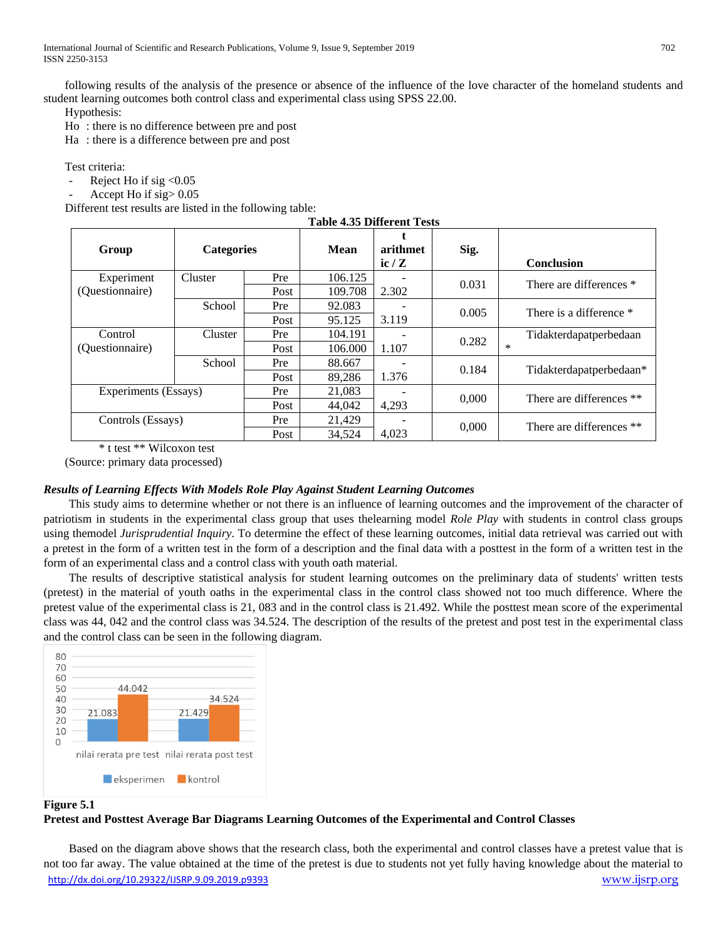following results of the analysis of the presence or absence of the influence of the love character of the homeland students and student learning outcomes both control class and experimental class using SPSS 22.00.

Hypothesis:

Ho : there is no difference between pre and post

Ha : there is a difference between pre and post

Test criteria:

- Reject Ho if sig  $< 0.05$
- Accept Ho if sig > 0.05

Different test results are listed in the following table:

| <b>Table 4.35 Different Tests</b> |                   |      |             |                  |       |                          |  |
|-----------------------------------|-------------------|------|-------------|------------------|-------|--------------------------|--|
| Group                             | <b>Categories</b> |      | <b>Mean</b> | arithmet<br>ic/Z | Sig.  | <b>Conclusion</b>        |  |
| Experiment                        | Cluster           | Pre  | 106.125     |                  | 0.031 | There are differences *  |  |
| (Questionnaire)                   |                   | Post | 109.708     | 2.302            |       |                          |  |
|                                   | School            | Pre  | 92.083      |                  | 0.005 | There is a difference *  |  |
|                                   |                   | Post | 95.125      | 3.119            |       |                          |  |
| Control                           | Cluster           | Pre  | 104.191     |                  | 0.282 | Tidakterdapatperbedaan   |  |
| (Ouestionnaire)                   |                   | Post | 106.000     | 1.107            |       | $\ast$                   |  |
|                                   | School            | Pre  | 88.667      |                  | 0.184 |                          |  |
|                                   |                   | Post | 89,286      | 1.376            |       | Tidakterdapatperbedaan*  |  |
| Experiments (Essays)              |                   | Pre  | 21,083      |                  |       | There are differences ** |  |
|                                   |                   | Post | 44,042      | 4,293            | 0,000 |                          |  |
| Controls (Essays)                 |                   | Pre  | 21,429      |                  |       |                          |  |
|                                   |                   | Post | 34,524      | 4,023            | 0,000 | There are differences ** |  |

\* t test \*\* Wilcoxon test

(Source: primary data processed)

## *Results of Learning Effects With Models Role Play Against Student Learning Outcomes*

This study aims to determine whether or not there is an influence of learning outcomes and the improvement of the character of patriotism in students in the experimental class group that uses thelearning model *Role Play* with students in control class groups using themodel *Jurisprudential Inquiry*. To determine the effect of these learning outcomes, initial data retrieval was carried out with a pretest in the form of a written test in the form of a description and the final data with a posttest in the form of a written test in the form of an experimental class and a control class with youth oath material.

The results of descriptive statistical analysis for student learning outcomes on the preliminary data of students' written tests (pretest) in the material of youth oaths in the experimental class in the control class showed not too much difference. Where the pretest value of the experimental class is 21, 083 and in the control class is 21.492. While the posttest mean score of the experimental class was 44, 042 and the control class was 34.524. The description of the results of the pretest and post test in the experimental class and the control class can be seen in the following diagram.



#### **Figure 5.1**

# **Pretest and Posttest Average Bar Diagrams Learning Outcomes of the Experimental and Control Classes**

<http://dx.doi.org/10.29322/IJSRP.9.09.2019.p9393> [www.ijsrp.org](http://ijsrp.org/) Based on the diagram above shows that the research class, both the experimental and control classes have a pretest value that is not too far away. The value obtained at the time of the pretest is due to students not yet fully having knowledge about the material to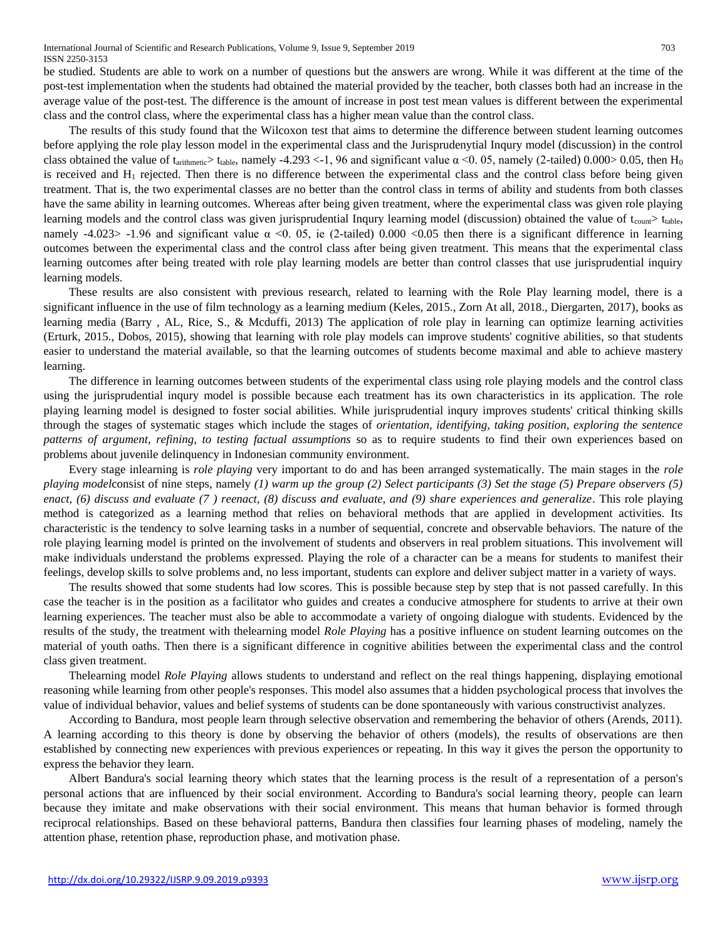be studied. Students are able to work on a number of questions but the answers are wrong. While it was different at the time of the post-test implementation when the students had obtained the material provided by the teacher, both classes both had an increase in the average value of the post-test. The difference is the amount of increase in post test mean values is different between the experimental class and the control class, where the experimental class has a higher mean value than the control class.

The results of this study found that the Wilcoxon test that aims to determine the difference between student learning outcomes before applying the role play lesson model in the experimental class and the Jurisprudenytial Inqury model (discussion) in the control class obtained the value of  $t_{\text{arithmetic}} > t_{\text{table}}$ , namely -4.293 <-1, 96 and significant value  $\alpha$  <0.05, namely (2-tailed) 0.000> 0.05, then H<sub>0</sub> is received and  $H_1$  rejected. Then there is no difference between the experimental class and the control class before being given treatment. That is, the two experimental classes are no better than the control class in terms of ability and students from both classes have the same ability in learning outcomes. Whereas after being given treatment, where the experimental class was given role playing learning models and the control class was given jurisprudential Inqury learning model (discussion) obtained the value of  $t_{\text{count}}$   $t_{\text{table}}$ , namely -4.023> -1.96 and significant value  $\alpha$  <0. 05, ie (2-tailed) 0.000 <0.05 then there is a significant difference in learning outcomes between the experimental class and the control class after being given treatment. This means that the experimental class learning outcomes after being treated with role play learning models are better than control classes that use jurisprudential inquiry learning models.

These results are also consistent with previous research, related to learning with the Role Play learning model, there is a significant influence in the use of film technology as a learning medium (Keles, 2015., Zorn At all, 2018., Diergarten, 2017), books as learning media (Barry , AL, Rice, S., & Mcduffi, 2013) The application of role play in learning can optimize learning activities (Erturk, 2015., Dobos, 2015), showing that learning with role play models can improve students' cognitive abilities, so that students easier to understand the material available, so that the learning outcomes of students become maximal and able to achieve mastery learning.

The difference in learning outcomes between students of the experimental class using role playing models and the control class using the jurisprudential inqury model is possible because each treatment has its own characteristics in its application. The role playing learning model is designed to foster social abilities. While jurisprudential inqury improves students' critical thinking skills through the stages of systematic stages which include the stages of *orientation, identifying, taking position, exploring the sentence patterns of argument, refining, to testing factual assumptions* so as to require students to find their own experiences based on problems about juvenile delinquency in Indonesian community environment.

Every stage inlearning is *role playing* very important to do and has been arranged systematically. The main stages in the *role playing model*consist of nine steps, namely *(1) warm up the group (2) Select participants (3) Set the stage (5) Prepare observers (5) enact, (6) discuss and evaluate (7 ) reenact, (8) discuss and evaluate, and (9) share experiences and generalize*. This role playing method is categorized as a learning method that relies on behavioral methods that are applied in development activities. Its characteristic is the tendency to solve learning tasks in a number of sequential, concrete and observable behaviors. The nature of the role playing learning model is printed on the involvement of students and observers in real problem situations. This involvement will make individuals understand the problems expressed. Playing the role of a character can be a means for students to manifest their feelings, develop skills to solve problems and, no less important, students can explore and deliver subject matter in a variety of ways.

The results showed that some students had low scores. This is possible because step by step that is not passed carefully. In this case the teacher is in the position as a facilitator who guides and creates a conducive atmosphere for students to arrive at their own learning experiences. The teacher must also be able to accommodate a variety of ongoing dialogue with students. Evidenced by the results of the study, the treatment with thelearning model *Role Playing* has a positive influence on student learning outcomes on the material of youth oaths. Then there is a significant difference in cognitive abilities between the experimental class and the control class given treatment.

Thelearning model *Role Playing* allows students to understand and reflect on the real things happening, displaying emotional reasoning while learning from other people's responses. This model also assumes that a hidden psychological process that involves the value of individual behavior, values and belief systems of students can be done spontaneously with various constructivist analyzes.

According to Bandura, most people learn through selective observation and remembering the behavior of others (Arends, 2011). A learning according to this theory is done by observing the behavior of others (models), the results of observations are then established by connecting new experiences with previous experiences or repeating. In this way it gives the person the opportunity to express the behavior they learn.

Albert Bandura's social learning theory which states that the learning process is the result of a representation of a person's personal actions that are influenced by their social environment. According to Bandura's social learning theory, people can learn because they imitate and make observations with their social environment. This means that human behavior is formed through reciprocal relationships. Based on these behavioral patterns, Bandura then classifies four learning phases of modeling, namely the attention phase, retention phase, reproduction phase, and motivation phase.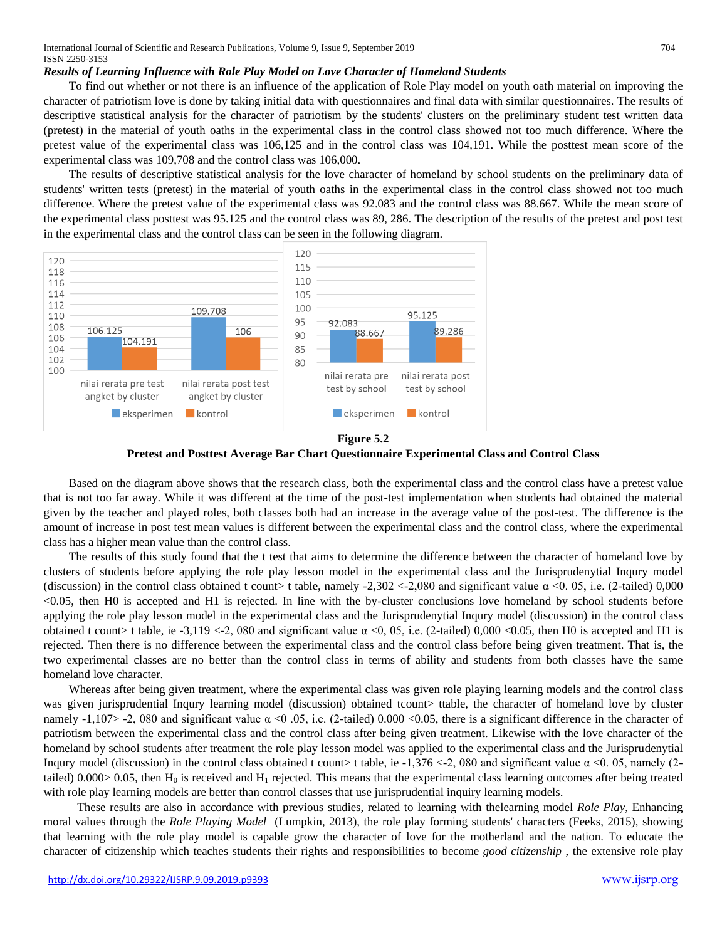## *Results of Learning Influence with Role Play Model on Love Character of Homeland Students*

To find out whether or not there is an influence of the application of Role Play model on youth oath material on improving the character of patriotism love is done by taking initial data with questionnaires and final data with similar questionnaires. The results of descriptive statistical analysis for the character of patriotism by the students' clusters on the preliminary student test written data (pretest) in the material of youth oaths in the experimental class in the control class showed not too much difference. Where the pretest value of the experimental class was 106,125 and in the control class was 104,191. While the posttest mean score of the experimental class was 109,708 and the control class was 106,000.

The results of descriptive statistical analysis for the love character of homeland by school students on the preliminary data of students' written tests (pretest) in the material of youth oaths in the experimental class in the control class showed not too much difference. Where the pretest value of the experimental class was 92.083 and the control class was 88.667. While the mean score of the experimental class posttest was 95.125 and the control class was 89, 286. The description of the results of the pretest and post test in the experimental class and the control class can be seen in the following diagram.



**Figure 5.2 Pretest and Posttest Average Bar Chart Questionnaire Experimental Class and Control Class**

Based on the diagram above shows that the research class, both the experimental class and the control class have a pretest value that is not too far away. While it was different at the time of the post-test implementation when students had obtained the material given by the teacher and played roles, both classes both had an increase in the average value of the post-test. The difference is the amount of increase in post test mean values is different between the experimental class and the control class, where the experimental class has a higher mean value than the control class.

The results of this study found that the t test that aims to determine the difference between the character of homeland love by clusters of students before applying the role play lesson model in the experimental class and the Jurisprudenytial Inqury model (discussion) in the control class obtained t count> t table, namely -2,302 <-2,080 and significant value  $\alpha$  <0. 05, i.e. (2-tailed) 0,000 <0.05, then H0 is accepted and H1 is rejected. In line with the by-cluster conclusions love homeland by school students before applying the role play lesson model in the experimental class and the Jurisprudenytial Inqury model (discussion) in the control class obtained t count> t table, ie -3,119 <-2, 080 and significant value  $\alpha$  <0, 05, i.e. (2-tailed) 0,000 <0.05, then H0 is accepted and H1 is rejected. Then there is no difference between the experimental class and the control class before being given treatment. That is, the two experimental classes are no better than the control class in terms of ability and students from both classes have the same homeland love character.

Whereas after being given treatment, where the experimental class was given role playing learning models and the control class was given jurisprudential Inqury learning model (discussion) obtained tcount> ttable, the character of homeland love by cluster namely -1,107> -2, 080 and significant value  $\alpha$  <0.05, i.e. (2-tailed) 0.000 <0.05, there is a significant difference in the character of patriotism between the experimental class and the control class after being given treatment. Likewise with the love character of the homeland by school students after treatment the role play lesson model was applied to the experimental class and the Jurisprudenytial Inqury model (discussion) in the control class obtained t count> t table, ie -1,376 <-2, 080 and significant value  $\alpha$  <0. 05, namely (2tailed)  $0.000>0.05$ , then H<sub>0</sub> is received and H<sub>1</sub> rejected. This means that the experimental class learning outcomes after being treated with role play learning models are better than control classes that use jurisprudential inquiry learning models.

These results are also in accordance with previous studies, related to learning with thelearning model *Role Play*, Enhancing moral values through the *Role Playing Model* (Lumpkin, 2013), the role play forming students' characters (Feeks, 2015), showing that learning with the role play model is capable grow the character of love for the motherland and the nation. To educate the character of citizenship which teaches students their rights and responsibilities to become *good citizenship* , the extensive role play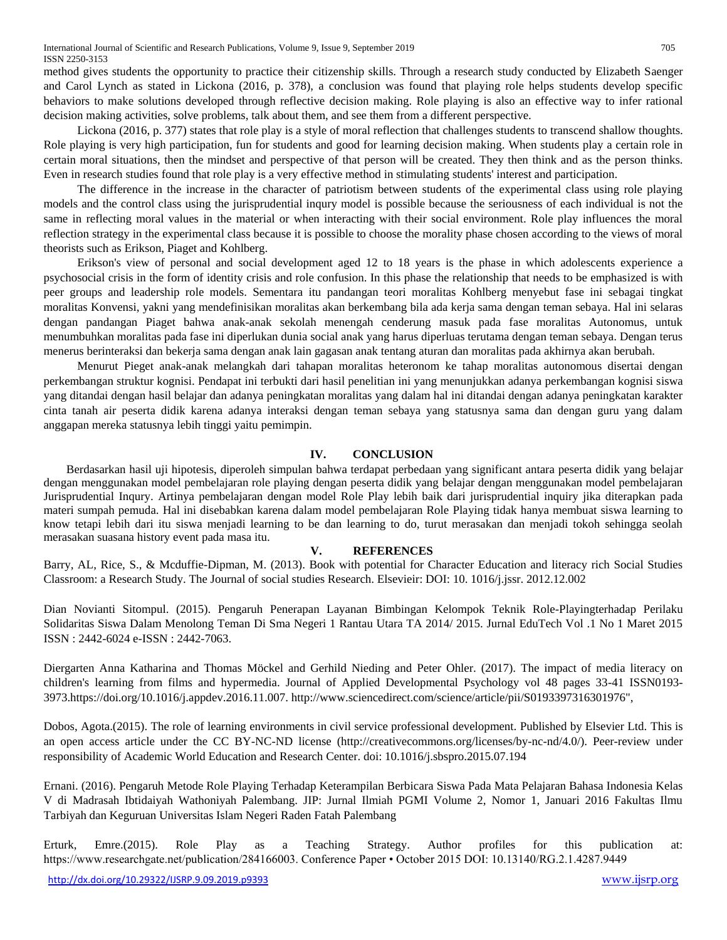method gives students the opportunity to practice their citizenship skills. Through a research study conducted by Elizabeth Saenger and Carol Lynch as stated in Lickona (2016, p. 378), a conclusion was found that playing role helps students develop specific behaviors to make solutions developed through reflective decision making. Role playing is also an effective way to infer rational decision making activities, solve problems, talk about them, and see them from a different perspective.

Lickona (2016, p. 377) states that role play is a style of moral reflection that challenges students to transcend shallow thoughts. Role playing is very high participation, fun for students and good for learning decision making. When students play a certain role in certain moral situations, then the mindset and perspective of that person will be created. They then think and as the person thinks. Even in research studies found that role play is a very effective method in stimulating students' interest and participation.

The difference in the increase in the character of patriotism between students of the experimental class using role playing models and the control class using the jurisprudential inqury model is possible because the seriousness of each individual is not the same in reflecting moral values in the material or when interacting with their social environment. Role play influences the moral reflection strategy in the experimental class because it is possible to choose the morality phase chosen according to the views of moral theorists such as Erikson, Piaget and Kohlberg.

Erikson's view of personal and social development aged 12 to 18 years is the phase in which adolescents experience a psychosocial crisis in the form of identity crisis and role confusion. In this phase the relationship that needs to be emphasized is with peer groups and leadership role models. Sementara itu pandangan teori moralitas Kohlberg menyebut fase ini sebagai tingkat moralitas Konvensi, yakni yang mendefinisikan moralitas akan berkembang bila ada kerja sama dengan teman sebaya. Hal ini selaras dengan pandangan Piaget bahwa anak-anak sekolah menengah cenderung masuk pada fase moralitas Autonomus, untuk menumbuhkan moralitas pada fase ini diperlukan dunia social anak yang harus diperluas terutama dengan teman sebaya. Dengan terus menerus berinteraksi dan bekerja sama dengan anak lain gagasan anak tentang aturan dan moralitas pada akhirnya akan berubah.

Menurut Pieget anak-anak melangkah dari tahapan moralitas heteronom ke tahap moralitas autonomous disertai dengan perkembangan struktur kognisi. Pendapat ini terbukti dari hasil penelitian ini yang menunjukkan adanya perkembangan kognisi siswa yang ditandai dengan hasil belajar dan adanya peningkatan moralitas yang dalam hal ini ditandai dengan adanya peningkatan karakter cinta tanah air peserta didik karena adanya interaksi dengan teman sebaya yang statusnya sama dan dengan guru yang dalam anggapan mereka statusnya lebih tinggi yaitu pemimpin.

## **IV. CONCLUSION**

Berdasarkan hasil uji hipotesis, diperoleh simpulan bahwa terdapat perbedaan yang significant antara peserta didik yang belajar dengan menggunakan model pembelajaran role playing dengan peserta didik yang belajar dengan menggunakan model pembelajaran Jurisprudential Inqury. Artinya pembelajaran dengan model Role Play lebih baik dari jurisprudential inquiry jika diterapkan pada materi sumpah pemuda. Hal ini disebabkan karena dalam model pembelajaran Role Playing tidak hanya membuat siswa learning to know tetapi lebih dari itu siswa menjadi learning to be dan learning to do, turut merasakan dan menjadi tokoh sehingga seolah merasakan suasana history event pada masa itu.

## **V. REFERENCES**

Barry, AL, Rice, S., & Mcduffie-Dipman, M. (2013). Book with potential for Character Education and literacy rich Social Studies Classroom: a Research Study. The Journal of social studies Research. Elsevieir: DOI: 10. 1016/j.jssr. 2012.12.002

Dian Novianti Sitompul. (2015). Pengaruh Penerapan Layanan Bimbingan Kelompok Teknik Role-Playingterhadap Perilaku Solidaritas Siswa Dalam Menolong Teman Di Sma Negeri 1 Rantau Utara TA 2014/ 2015. Jurnal EduTech Vol .1 No 1 Maret 2015 ISSN : 2442-6024 e-ISSN : 2442-7063.

Diergarten Anna Katharina and Thomas Möckel and Gerhild Nieding and Peter Ohler. (2017). The impact of media literacy on children's learning from films and hypermedia. Journal of Applied Developmental Psychology vol 48 pages 33-41 ISSN0193- 3973.https://doi.org/10.1016/j.appdev.2016.11.007. http://www.sciencedirect.com/science/article/pii/S0193397316301976",

Dobos, Agota.(2015). The role of learning environments in civil service professional development. Published by Elsevier Ltd. This is an open access article under the CC BY-NC-ND license (http://creativecommons.org/licenses/by-nc-nd/4.0/). Peer-review under responsibility of Academic World Education and Research Center. doi: 10.1016/j.sbspro.2015.07.194

Ernani. (2016). Pengaruh Metode Role Playing Terhadap Keterampilan Berbicara Siswa Pada Mata Pelajaran Bahasa Indonesia Kelas V di Madrasah Ibtidaiyah Wathoniyah Palembang. JIP: Jurnal Ilmiah PGMI Volume 2, Nomor 1, Januari 2016 Fakultas Ilmu Tarbiyah dan Keguruan Universitas Islam Negeri Raden Fatah Palembang

Erturk, Emre.(2015). Role Play as a Teaching Strategy. Author profiles for this publication at: https://www.researchgate.net/publication/284166003. Conference Paper • October 2015 DOI: 10.13140/RG.2.1.4287.9449